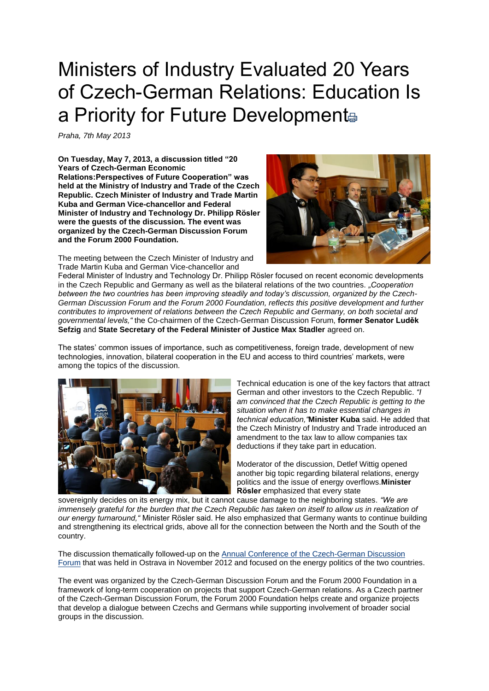## Ministers of Industry Evaluated 20 Years of Czech-German Relations: Education Is a Priority for Future Development

*Praha, 7th May 2013*

**On Tuesday, May 7, 2013, a discussion titled "20 Years of Czech-German Economic Relations:Perspectives of Future Cooperation" was held at the Ministry of Industry and Trade of the Czech Republic. Czech Minister of Industry and Trade Martin Kuba and German Vice-chancellor and Federal Minister of Industry and Technology Dr. Philipp Rösler were the guests of the discussion***.* **The event was organized by the Czech-German Discussion Forum and the Forum 2000 Foundation.**

The meeting between the Czech Minister of Industry and Trade Martin Kuba and German Vice-chancellor and



Federal Minister of Industry and Technology Dr. Philipp Rösler focused on recent economic developments in the Czech Republic and Germany as well as the bilateral relations of the two countries. *"Cooperation between the two countries has been improving steadily and today's discussion, organized by the Czech-German Discussion Forum and the Forum 2000 Foundation, reflects this positive development and further contributes to improvement of relations between the Czech Republic and Germany, on both societal and governmental levels,"* the Co-chairmen of the Czech-German Discussion Forum, **former Senator Luděk Sefzig** and **State Secretary of the Federal Minister of Justice Max Stadler** agreed on.

The states' common issues of importance, such as competitiveness, foreign trade, development of new technologies, innovation, bilateral cooperation in the EU and access to third countries' markets, were among the topics of the discussion.



Technical education is one of the key factors that attract German and other investors to the Czech Republic. *"I am convinced that the Czech Republic is getting to the situation when it has to make essential changes in technical education,"***Minister Kuba** said. He added that the Czech Ministry of Industry and Trade introduced an amendment to the tax law to allow companies tax deductions if they take part in education.

Moderator of the discussion, Detlef Wittig opened another big topic regarding bilateral relations, energy politics and the issue of energy overflows.**Minister Rösler** emphasized that every state

sovereignly decides on its energy mix, but it cannot cause damage to the neighboring states. *"We are immensely grateful for the burden that the Czech Republic has taken on itself to allow us in realization of our energy turnaround,"* Minister Rösler said. He also emphasized that Germany wants to continue building and strengthening its electrical grids, above all for the connection between the North and the South of the country.

The discussion thematically followed-up on the [Annual Conference of the Czech-German Discussion](http://www.forum2000.cz/redirect.php?id=200017632&lang=10000000)  [Forum](http://www.forum2000.cz/redirect.php?id=200017632&lang=10000000) that was held in Ostrava in November 2012 and focused on the energy politics of the two countries.

The event was organized by the Czech-German Discussion Forum and the Forum 2000 Foundation in a framework of long-term cooperation on projects that support Czech-German relations. As a Czech partner of the Czech-German Discussion Forum, the Forum 2000 Foundation helps create and organize projects that develop a dialogue between Czechs and Germans while supporting involvement of broader social groups in the discussion.